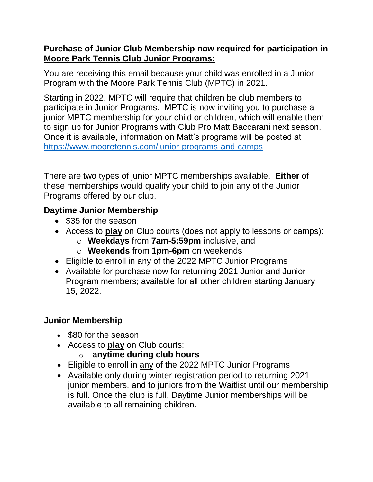#### **Purchase of Junior Club Membership now required for participation in Moore Park Tennis Club Junior Programs:**

You are receiving this email because your child was enrolled in a Junior Program with the Moore Park Tennis Club (MPTC) in 2021.

Starting in 2022, MPTC will require that children be club members to participate in Junior Programs. MPTC is now inviting you to purchase a junior MPTC membership for your child or children, which will enable them to sign up for Junior Programs with Club Pro Matt Baccarani next season. Once it is available, information on Matt's programs will be posted at <https://www.mooretennis.com/junior-programs-and-camps>

There are two types of junior MPTC memberships available. **Either** of these memberships would qualify your child to join any of the Junior Programs offered by our club.

## **Daytime Junior Membership**

- \$35 for the season
- Access to **play** on Club courts (does not apply to lessons or camps):
	- o **Weekdays** from **7am-5:59pm** inclusive, and
	- o **Weekends** from **1pm-6pm** on weekends
- Eligible to enroll in any of the 2022 MPTC Junior Programs
- Available for purchase now for returning 2021 Junior and Junior Program members; available for all other children starting January 15, 2022.

# **Junior Membership**

- \$80 for the season
- Access to **play** on Club courts:
	- anytime during club hours
- Eligible to enroll in any of the 2022 MPTC Junior Programs
- Available only during winter registration period to returning 2021 junior members, and to juniors from the Waitlist until our membership is full. Once the club is full, Daytime Junior memberships will be available to all remaining children.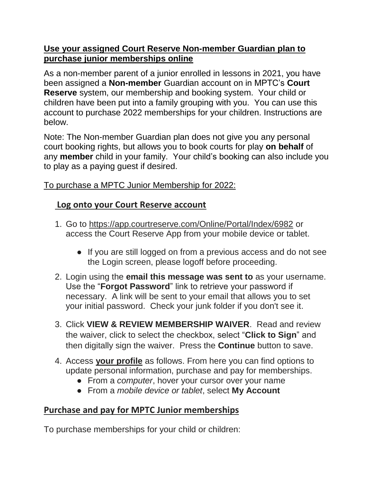### **Use your assigned Court Reserve Non-member Guardian plan to purchase junior memberships online**

As a non-member parent of a junior enrolled in lessons in 2021, you have been assigned a **Non-member** Guardian account on in MPTC's **Court Reserve** system, our membership and booking system. Your child or children have been put into a family grouping with you. You can use this account to purchase 2022 memberships for your children. Instructions are below.

Note: The Non-member Guardian plan does not give you any personal court booking rights, but allows you to book courts for play **on behalf** of any **member** child in your family. Your child's booking can also include you to play as a paying guest if desired.

### To purchase a MPTC Junior Membership for 2022:

# **Log onto your Court Reserve account**

- 1. Go to<https://app.courtreserve.com/Online/Portal/Index/6982> or access the Court Reserve App from your mobile device or tablet.
	- If you are still logged on from a previous access and do not see the Login screen, please logoff before proceeding.
- 2. Login using the **email this message was sent to** as your username. Use the "**Forgot Password**" link to retrieve your password if necessary. A link will be sent to your email that allows you to set your initial password. Check your junk folder if you don't see it.
- 3. Click **VIEW & REVIEW MEMBERSHIP WAIVER**. Read and review the waiver, click to select the checkbox, select "**Click to Sign**" and then digitally sign the waiver. Press the **Continue** button to save.
- 4. Access **your profile** as follows. From here you can find options to update personal information, purchase and pay for memberships.
	- From a *computer*, hover your cursor over your name
	- From a *mobile device or tablet*, select **My Account**

# **Purchase and pay for MPTC Junior memberships**

To purchase memberships for your child or children: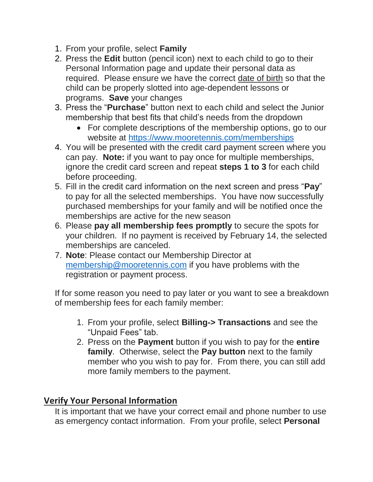- 1. From your profile, select **Family**
- 2. Press the **Edit** button (pencil icon) next to each child to go to their Personal Information page and update their personal data as required. Please ensure we have the correct date of birth so that the child can be properly slotted into age-dependent lessons or programs. **Save** your changes
- 3. Press the "**Purchase**" button next to each child and select the Junior membership that best fits that child's needs from the dropdown
	- For complete descriptions of the membership options, go to our website at<https://www.mooretennis.com/memberships>
- 4. You will be presented with the credit card payment screen where you can pay. **Note:** if you want to pay once for multiple memberships, ignore the credit card screen and repeat **steps 1 to 3** for each child before proceeding.
- 5. Fill in the credit card information on the next screen and press "**Pay**" to pay for all the selected memberships. You have now successfully purchased memberships for your family and will be notified once the memberships are active for the new season
- 6. Please **pay all membership fees promptly** to secure the spots for your children. If no payment is received by February 14, the selected memberships are canceled.
- 7. **Note**: Please contact our Membership Director at [membership@mooretennis.com](mailto:membership@mooretennis.com) if you have problems with the registration or payment process.

If for some reason you need to pay later or you want to see a breakdown of membership fees for each family member:

- 1. From your profile, select **Billing-> Transactions** and see the "Unpaid Fees" tab.
- 2. Press on the **Payment** button if you wish to pay for the **entire family**. Otherwise, select the **Pay button** next to the family member who you wish to pay for. From there, you can still add more family members to the payment.

# **Verify Your Personal Information**

It is important that we have your correct email and phone number to use as emergency contact information. From your profile, select **Personal**